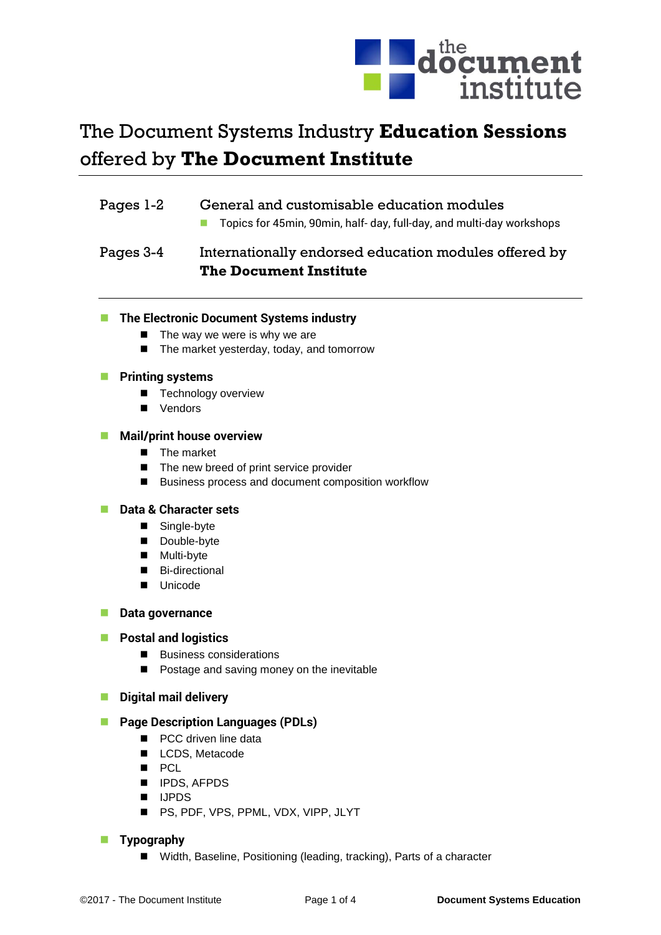

# The Document Systems Industry **Education Sessions** offered by **The Document Institute**

# Pages 1-2 General and customisable education modules

■ Topics for 45min, 90min, half- day, full-day, and multi-day workshops

# Pages 3-4 Internationally endorsed education modules offered by **The Document Institute**

# **The Electronic Document Systems industry**

- $\blacksquare$  The way we were is why we are
- The market vesterday, today, and tomorrow

# **Printing systems**

- **Technology overview**
- **Vendors**

# **Mail/print house overview**

- The market
- The new breed of print service provider
- Business process and document composition workflow

# **Data & Character sets**

- Single-byte
- Double-byte
- Multi-byte
- Bi-directional
- **Unicode**

# **Data governance**

# **Postal and logistics**

- Business considerations
- **Postage and saving money on the inevitable**

# **Digital mail delivery**

#### **Page Description Languages (PDLs)**

- **PCC** driven line data
- **LCDS**, Metacode
- **PCL**
- **IPDS, AFPDS**
- **II** IJPDS
- **PS, PDF, VPS, PPML, VDX, VIPP, JLYT**

# **Typography**

■ Width, Baseline, Positioning (leading, tracking), Parts of a character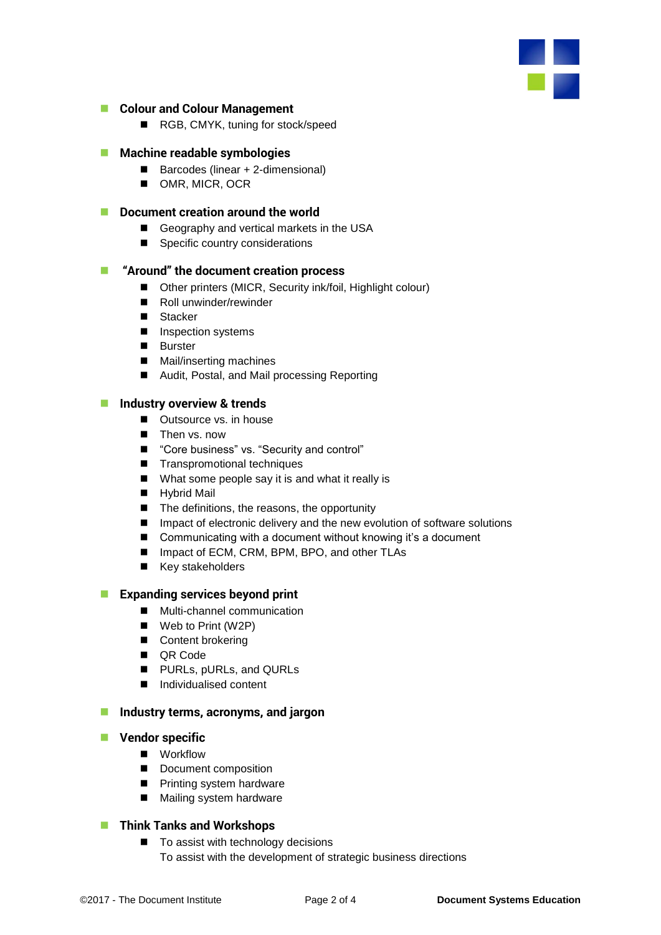

#### **Colour and Colour Management**

■ RGB, CMYK, tuning for stock/speed

#### **Machine readable symbologies**

- Barcodes (linear + 2-dimensional)
- OMR, MICR, OCR

#### **Document creation around the world**

- Geography and vertical markets in the USA
- Specific country considerations

#### **"Around" the document creation process**

- Other printers (MICR, Security ink/foil, Highlight colour)
- Roll unwinder/rewinder
- Stacker
- **Inspection systems**
- **Burster**
- Mail/inserting machines
- Audit, Postal, and Mail processing Reporting

#### **Industry overview & trends**

- Outsource vs. in house
- **Then vs. now**
- "Core business" vs. "Security and control"
- Transpromotional techniques
- What some people say it is and what it really is
- **Hybrid Mail**
- The definitions, the reasons, the opportunity
- Impact of electronic delivery and the new evolution of software solutions
- Communicating with a document without knowing it's a document
- Impact of ECM, CRM, BPM, BPO, and other TLAs
- $\blacksquare$  Key stakeholders

# **Expanding services beyond print**

- Multi-channel communication
- Web to Print (W2P)
- Content brokering
- QR Code
- **PURLS, pURLS, and QURLS**
- Individualised content

#### **Industry terms, acronyms, and jargon**

#### **Vendor specific**

- **Norkflow**
- Document composition
- **Printing system hardware**
- Mailing system hardware

# **Think Tanks and Workshops**

■ To assist with technology decisions To assist with the development of strategic business directions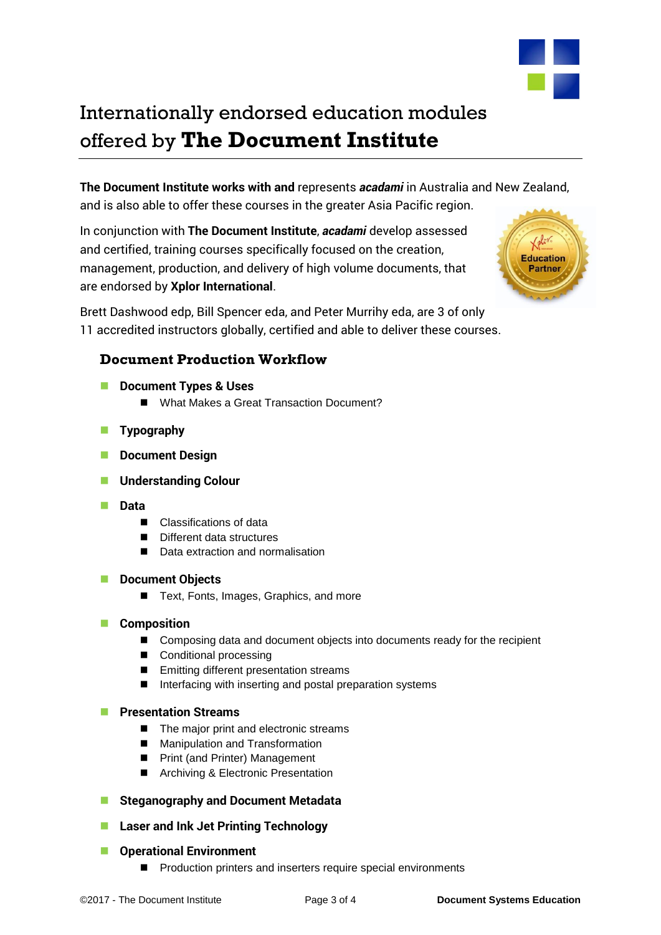

Internationally endorsed education modules offered by **The Document Institute**

**The Document Institute works with and** represents *acadami* in Australia and New Zealand, and is also able to offer these courses in the greater Asia Pacific region.

In conjunction with **The Document Institute**, *acadami* develop assessed and certified, training courses specifically focused on the creation, management, production, and delivery of high volume documents, that are endorsed by **Xplor International**.

Brett Dashwood edp, Bill Spencer eda, and Peter Murrihy eda, are 3 of only 11 accredited instructors globally, certified and able to deliver these courses.



# **Document Production Workflow**

- **Document Types & Uses**
	- What Makes a Great Transaction Document?
- **Typography**
- **Document Design**
- **Understanding Colour**
- **Data**
	- Classifications of data
	- Different data structures
	- Data extraction and normalisation

#### **Document Objects**

- Text, Fonts, Images, Graphics, and more
- **Composition** 
	- Composing data and document objects into documents ready for the recipient
	- Conditional processing
	- **Emitting different presentation streams**
	- Interfacing with inserting and postal preparation systems

# **Presentation Streams**

- The major print and electronic streams
- Manipulation and Transformation
- **Print (and Printer) Management**
- Archiving & Electronic Presentation
- **Steganography and Document Metadata**
- **Laser and Ink Jet Printing Technology**
- **COPERATIONAL ENVIRONMENT** 
	- **Production printers and inserters require special environments**